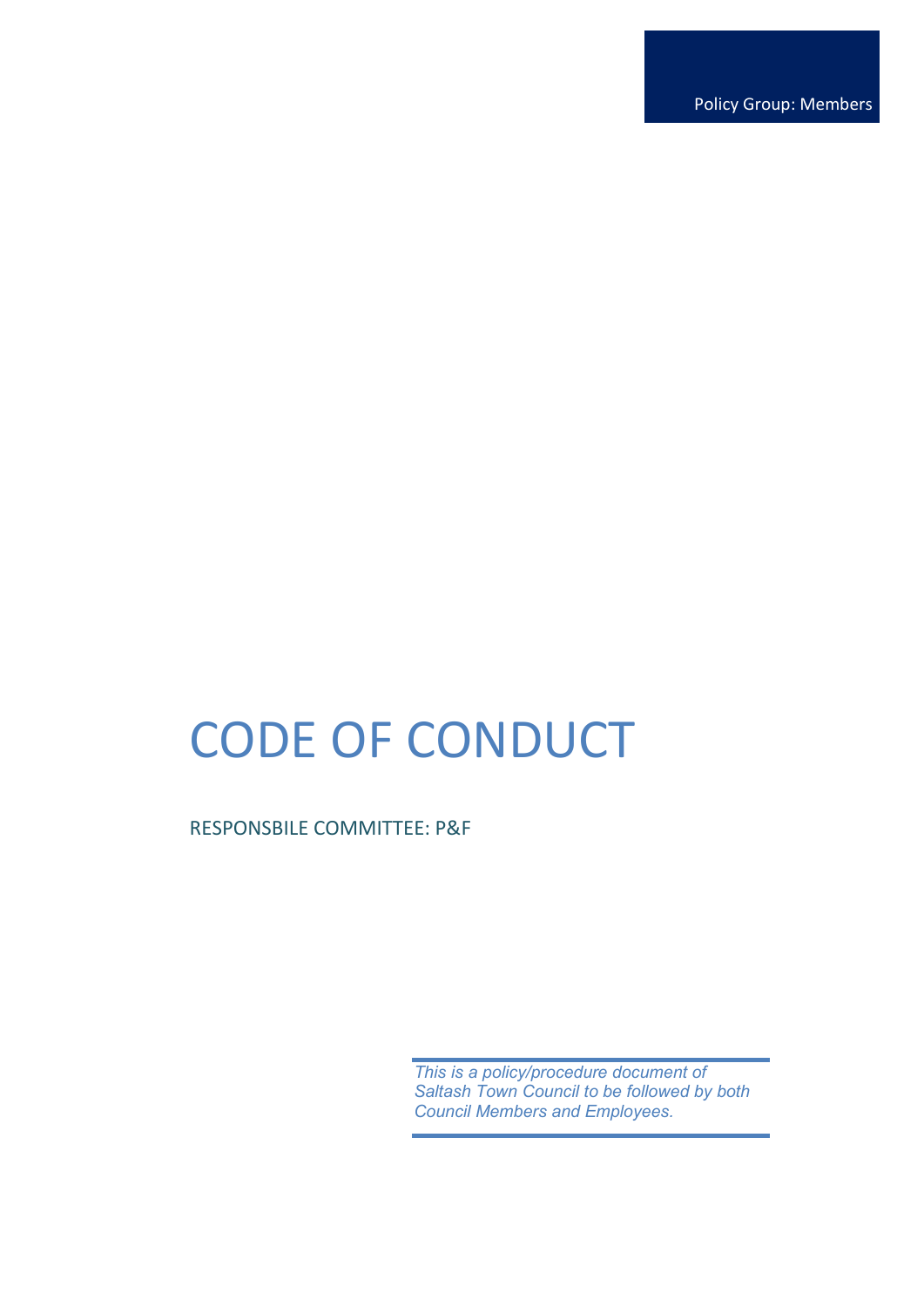Policy Group: Members

# CODE OF CONDUCT

RESPONSBILE COMMITTEE: P&F

*This is a policy/procedure document of Saltash Town Council to be followed by both Council Members and Employees.*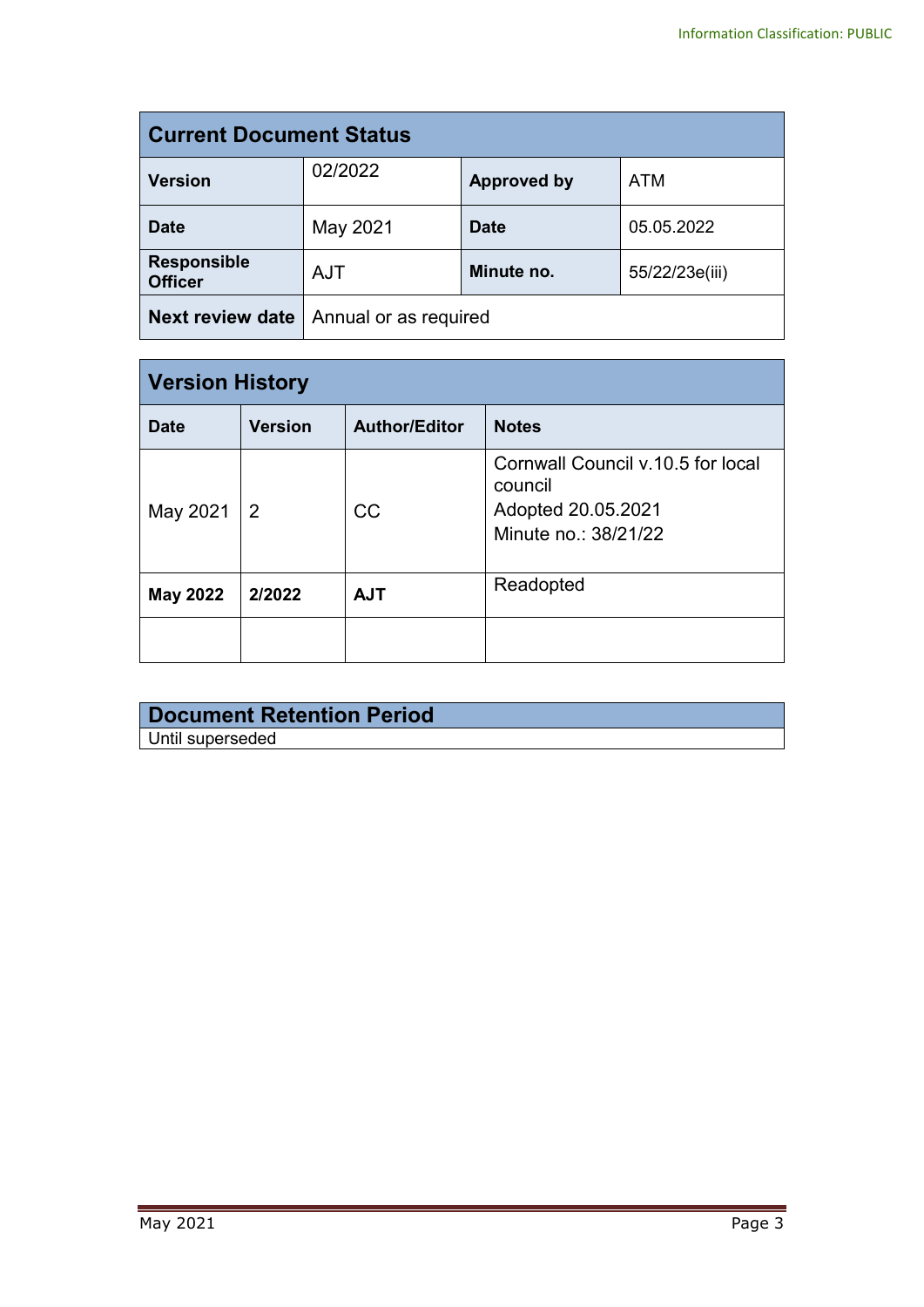| <b>Current Document Status</b>       |                                            |                    |            |
|--------------------------------------|--------------------------------------------|--------------------|------------|
| <b>Version</b>                       | 02/2022                                    | <b>Approved by</b> | <b>ATM</b> |
| <b>Date</b>                          | May 2021                                   | <b>Date</b>        | 05.05.2022 |
| <b>Responsible</b><br><b>Officer</b> | <b>AJT</b><br>Minute no.<br>55/22/23e(iii) |                    |            |
| <b>Next review date</b>              | Annual or as required                      |                    |            |

| <b>Version History</b> |                |                      |                                                                                            |
|------------------------|----------------|----------------------|--------------------------------------------------------------------------------------------|
| <b>Date</b>            | <b>Version</b> | <b>Author/Editor</b> | <b>Notes</b>                                                                               |
| May 2021               | $\overline{2}$ | <b>CC</b>            | Cornwall Council v.10.5 for local<br>council<br>Adopted 20.05.2021<br>Minute no.: 38/21/22 |
| <b>May 2022</b>        | 2/2022         | <b>AJT</b>           | Readopted                                                                                  |
|                        |                |                      |                                                                                            |

| Document Retention Period |  |
|---------------------------|--|
| Until superseded          |  |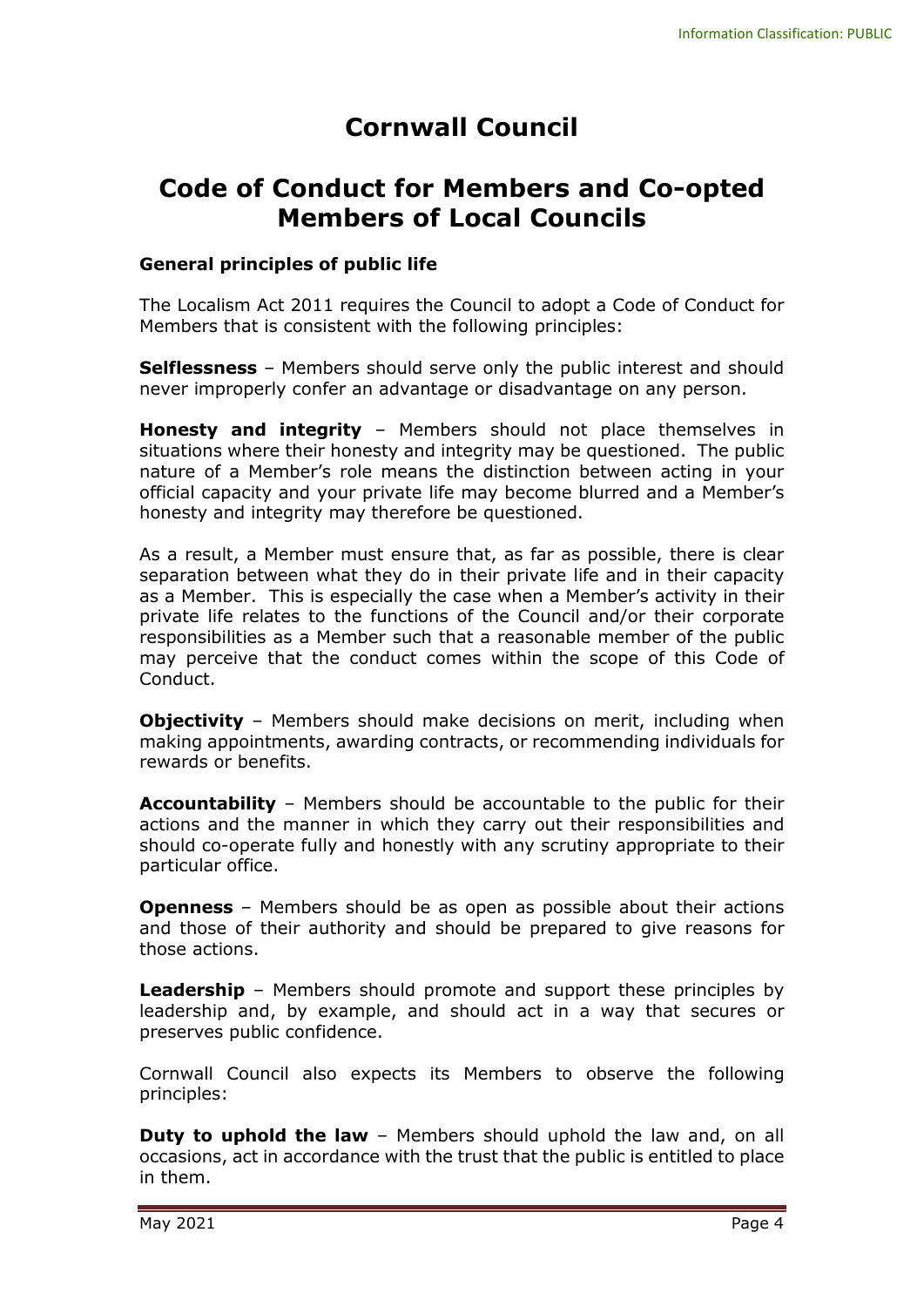# **Cornwall Council**

## **Code of Conduct for Members and Co-opted Members of Local Councils**

#### **General principles of public life**

The Localism Act 2011 requires the Council to adopt a Code of Conduct for Members that is consistent with the following principles:

**Selflessness** – Members should serve only the public interest and should never improperly confer an advantage or disadvantage on any person.

**Honesty and integrity** – Members should not place themselves in situations where their honesty and integrity may be questioned. The public nature of a Member's role means the distinction between acting in your official capacity and your private life may become blurred and a Member's honesty and integrity may therefore be questioned.

As a result, a Member must ensure that, as far as possible, there is clear separation between what they do in their private life and in their capacity as a Member. This is especially the case when a Member's activity in their private life relates to the functions of the Council and/or their corporate responsibilities as a Member such that a reasonable member of the public may perceive that the conduct comes within the scope of this Code of Conduct.

**Objectivity** - Members should make decisions on merit, including when making appointments, awarding contracts, or recommending individuals for rewards or benefits.

**Accountability** – Members should be accountable to the public for their actions and the manner in which they carry out their responsibilities and should co-operate fully and honestly with any scrutiny appropriate to their particular office.

**Openness** – Members should be as open as possible about their actions and those of their authority and should be prepared to give reasons for those actions.

**Leadership** – Members should promote and support these principles by leadership and, by example, and should act in a way that secures or preserves public confidence.

Cornwall Council also expects its Members to observe the following principles:

**Duty to uphold the law** – Members should uphold the law and, on all occasions, act in accordance with the trust that the public is entitled to place in them.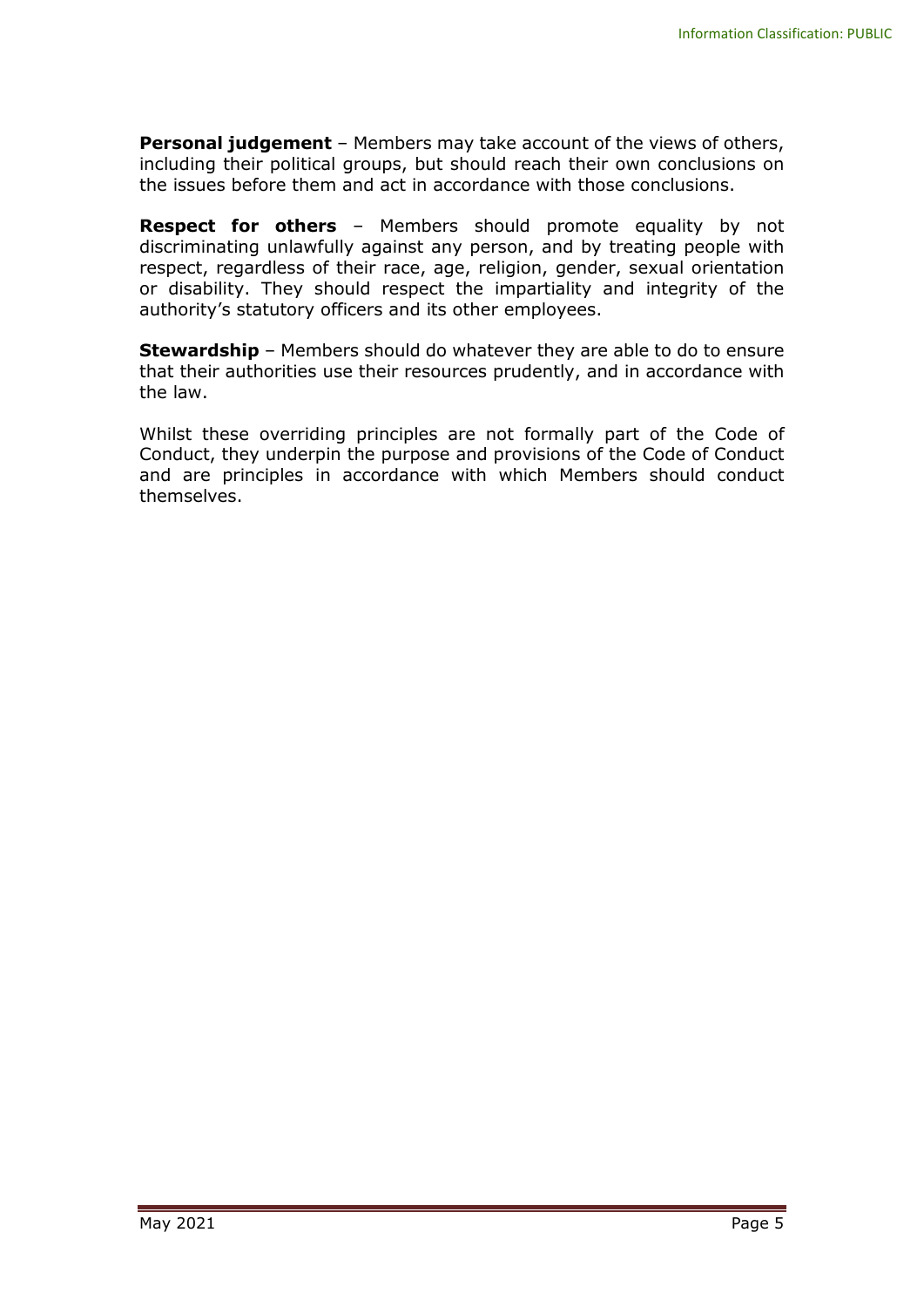**Personal judgement** – Members may take account of the views of others, including their political groups, but should reach their own conclusions on the issues before them and act in accordance with those conclusions.

**Respect for others** – Members should promote equality by not discriminating unlawfully against any person, and by treating people with respect, regardless of their race, age, religion, gender, sexual orientation or disability. They should respect the impartiality and integrity of the authority's statutory officers and its other employees.

**Stewardship** – Members should do whatever they are able to do to ensure that their authorities use their resources prudently, and in accordance with the law.

Whilst these overriding principles are not formally part of the Code of Conduct, they underpin the purpose and provisions of the Code of Conduct and are principles in accordance with which Members should conduct themselves.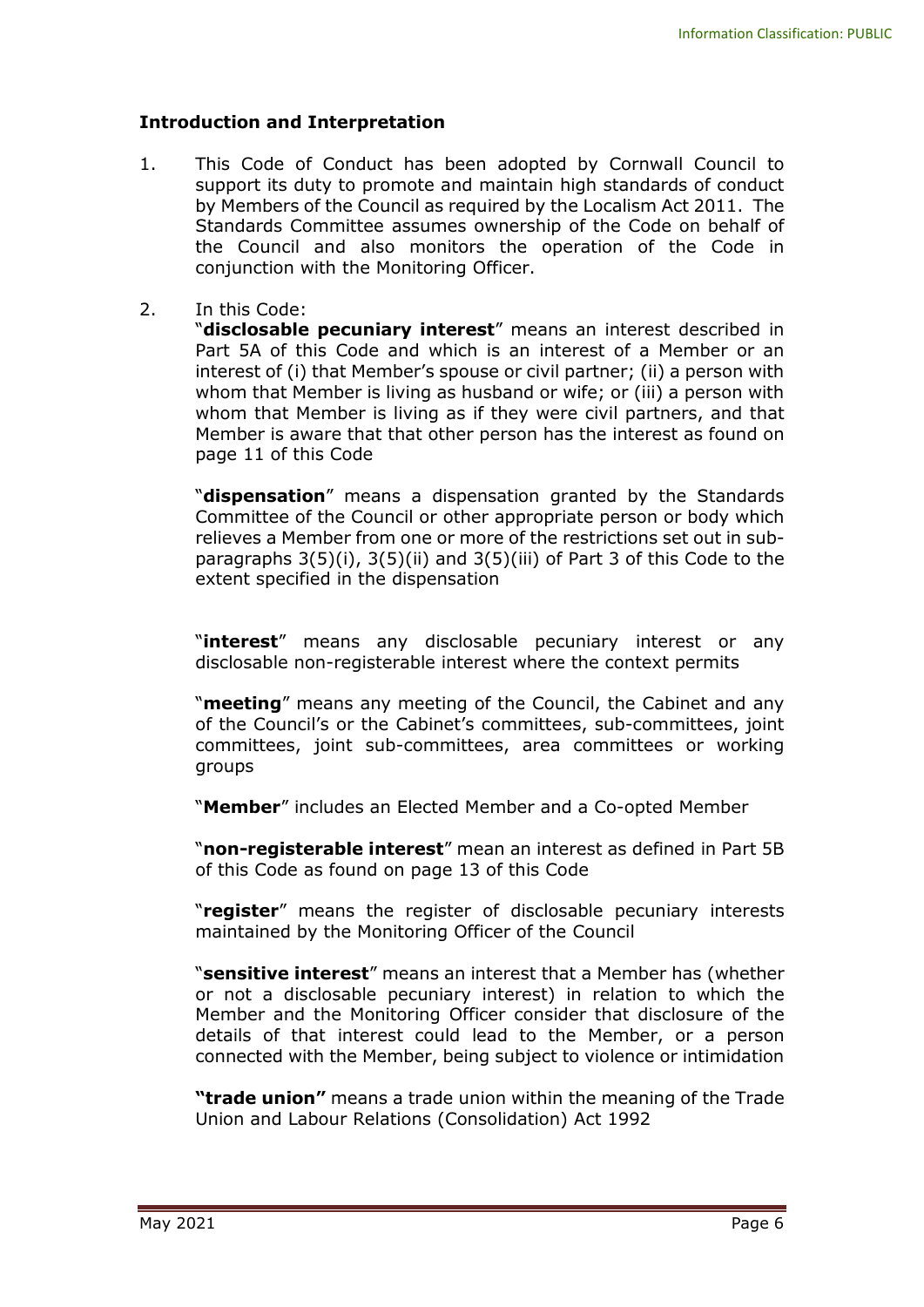#### **Introduction and Interpretation**

- 1. This Code of Conduct has been adopted by Cornwall Council to support its duty to promote and maintain high standards of conduct by Members of the Council as required by the Localism Act 2011. The Standards Committee assumes ownership of the Code on behalf of the Council and also monitors the operation of the Code in conjunction with the Monitoring Officer.
- 2. In this Code:

"**disclosable pecuniary interest**" means an interest described in Part 5A of this Code and which is an interest of a Member or an interest of (i) that Member's spouse or civil partner; (ii) a person with whom that Member is living as husband or wife; or (iii) a person with whom that Member is living as if they were civil partners, and that Member is aware that that other person has the interest as found on page 11 of this Code

"**dispensation**" means a dispensation granted by the Standards Committee of the Council or other appropriate person or body which relieves a Member from one or more of the restrictions set out in subparagraphs 3(5)(i), 3(5)(ii) and 3(5)(iii) of Part 3 of this Code to the extent specified in the dispensation

"**interest**" means any disclosable pecuniary interest or any disclosable non-registerable interest where the context permits

"**meeting**" means any meeting of the Council, the Cabinet and any of the Council's or the Cabinet's committees, sub-committees, joint committees, joint sub-committees, area committees or working groups

"**Member**" includes an Elected Member and a Co-opted Member

"**non-registerable interest**" mean an interest as defined in Part 5B of this Code as found on page 13 of this Code

"**register**" means the register of disclosable pecuniary interests maintained by the Monitoring Officer of the Council

"**sensitive interest**" means an interest that a Member has (whether or not a disclosable pecuniary interest) in relation to which the Member and the Monitoring Officer consider that disclosure of the details of that interest could lead to the Member, or a person connected with the Member, being subject to violence or intimidation

**"trade union"** means a trade union within the meaning of the Trade Union and Labour Relations (Consolidation) Act 1992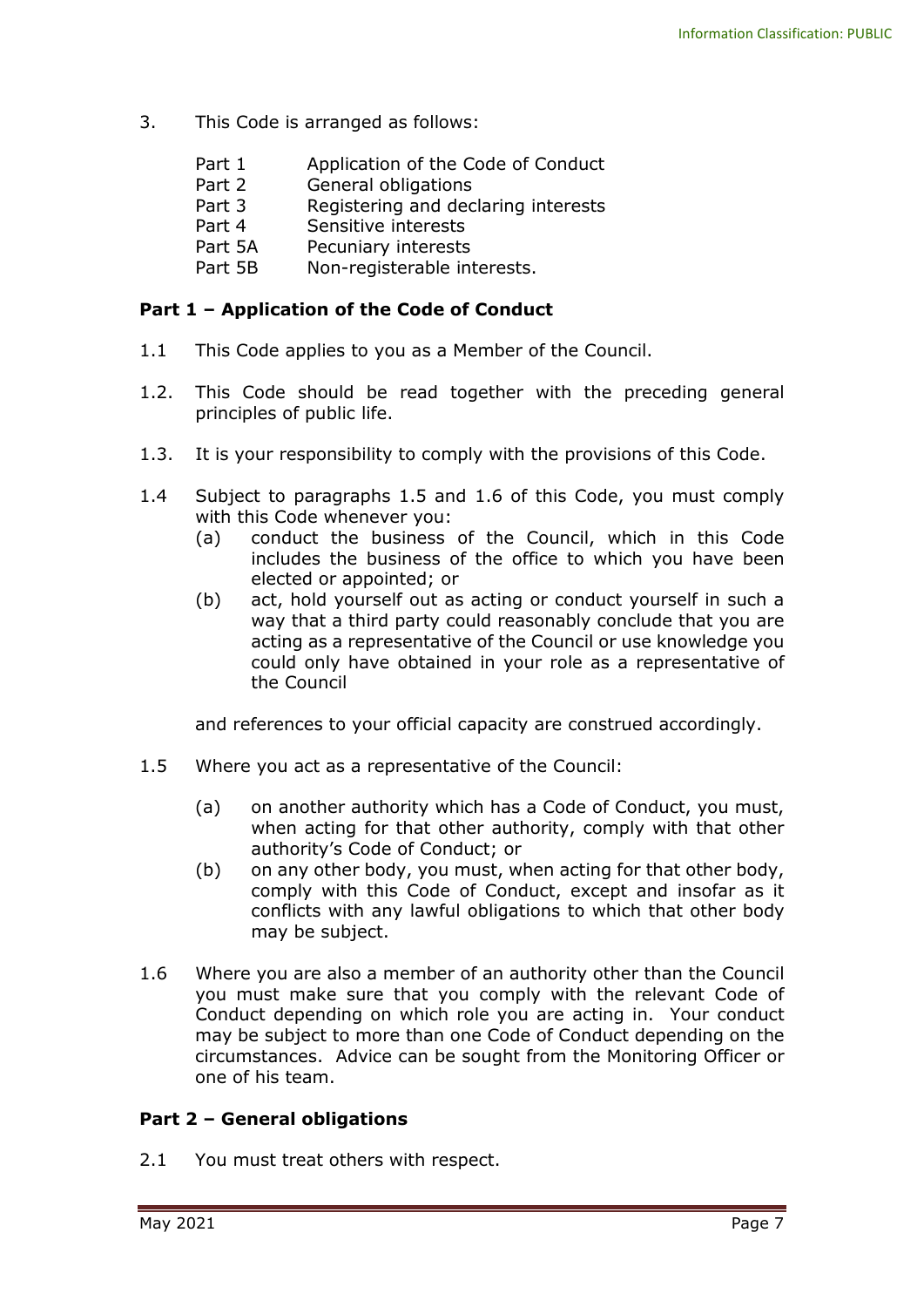- 3. This Code is arranged as follows:
	- Part 1 Application of the Code of Conduct
	- Part 2 General obligations
	- Part 3 Registering and declaring interests
	- Part 4 Sensitive interests
	- Part 5A Pecuniary interests
	- Part 5B Non-registerable interests.

#### **Part 1 – Application of the Code of Conduct**

- 1.1 This Code applies to you as a Member of the Council.
- 1.2. This Code should be read together with the preceding general principles of public life.
- 1.3. It is your responsibility to comply with the provisions of this Code.
- 1.4 Subject to paragraphs 1.5 and 1.6 of this Code, you must comply with this Code whenever you:
	- (a) conduct the business of the Council, which in this Code includes the business of the office to which you have been elected or appointed; or
	- (b) act, hold yourself out as acting or conduct yourself in such a way that a third party could reasonably conclude that you are acting as a representative of the Council or use knowledge you could only have obtained in your role as a representative of the Council

and references to your official capacity are construed accordingly.

- 1.5 Where you act as a representative of the Council:
	- (a) on another authority which has a Code of Conduct, you must, when acting for that other authority, comply with that other authority's Code of Conduct; or
	- (b) on any other body, you must, when acting for that other body, comply with this Code of Conduct, except and insofar as it conflicts with any lawful obligations to which that other body may be subject.
- 1.6 Where you are also a member of an authority other than the Council you must make sure that you comply with the relevant Code of Conduct depending on which role you are acting in. Your conduct may be subject to more than one Code of Conduct depending on the circumstances. Advice can be sought from the Monitoring Officer or one of his team.

#### **Part 2 – General obligations**

2.1 You must treat others with respect.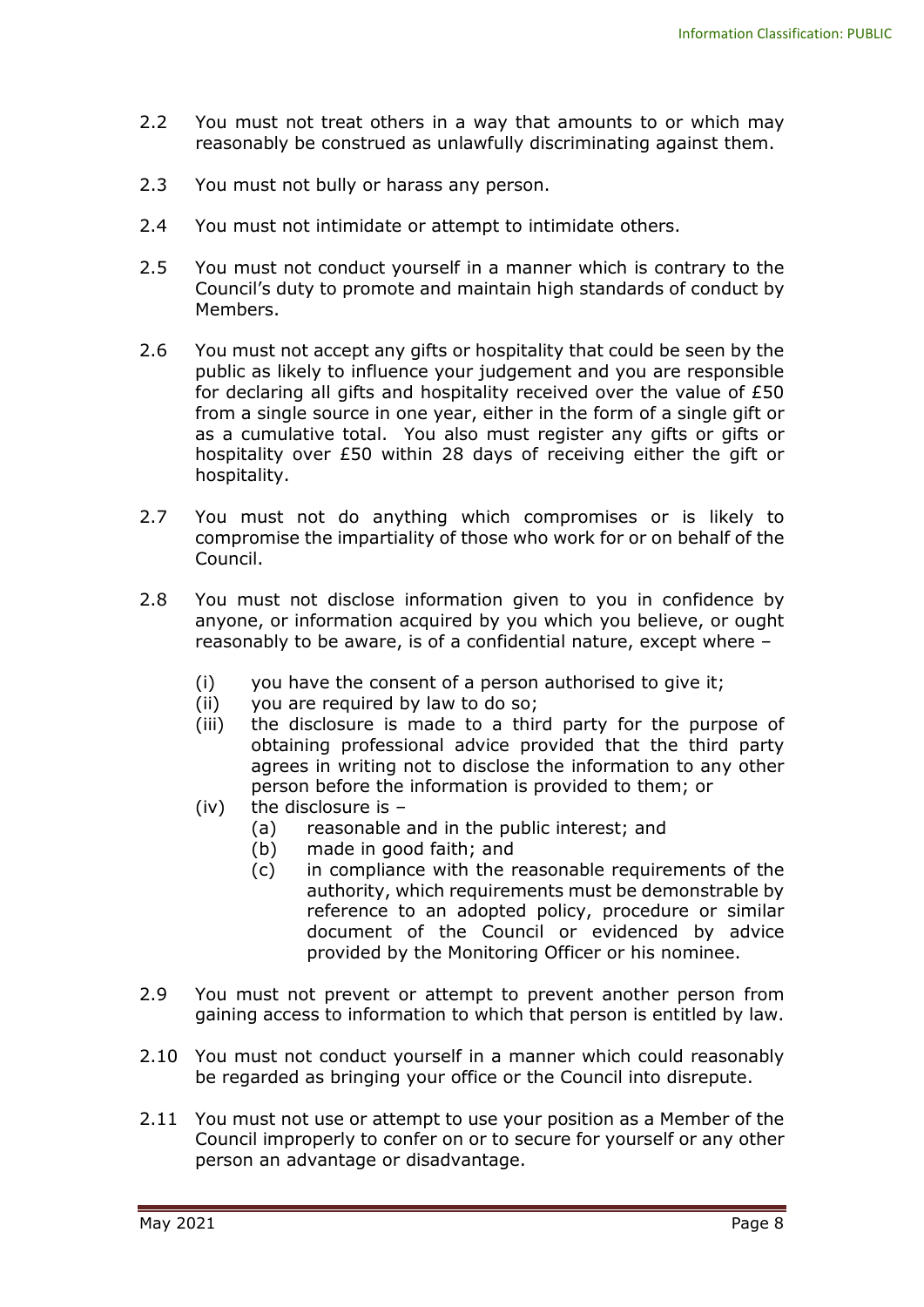- 2.2 You must not treat others in a way that amounts to or which may reasonably be construed as unlawfully discriminating against them.
- 2.3 You must not bully or harass any person.
- 2.4 You must not intimidate or attempt to intimidate others.
- 2.5 You must not conduct yourself in a manner which is contrary to the Council's duty to promote and maintain high standards of conduct by Members.
- 2.6 You must not accept any gifts or hospitality that could be seen by the public as likely to influence your judgement and you are responsible for declaring all gifts and hospitality received over the value of £50 from a single source in one year, either in the form of a single gift or as a cumulative total. You also must register any gifts or gifts or hospitality over £50 within 28 days of receiving either the gift or hospitality.
- 2.7 You must not do anything which compromises or is likely to compromise the impartiality of those who work for or on behalf of the Council.
- 2.8 You must not disclose information given to you in confidence by anyone, or information acquired by you which you believe, or ought reasonably to be aware, is of a confidential nature, except where –
	- (i) you have the consent of a person authorised to give it;
	- (ii) you are required by law to do so;
	- (iii) the disclosure is made to a third party for the purpose of obtaining professional advice provided that the third party agrees in writing not to disclose the information to any other person before the information is provided to them; or
	- (iv) the disclosure is  $-$ 
		- (a) reasonable and in the public interest; and
		- (b) made in good faith; and
		- (c) in compliance with the reasonable requirements of the authority, which requirements must be demonstrable by reference to an adopted policy, procedure or similar document of the Council or evidenced by advice provided by the Monitoring Officer or his nominee.
- 2.9 You must not prevent or attempt to prevent another person from gaining access to information to which that person is entitled by law.
- 2.10 You must not conduct yourself in a manner which could reasonably be regarded as bringing your office or the Council into disrepute.
- 2.11 You must not use or attempt to use your position as a Member of the Council improperly to confer on or to secure for yourself or any other person an advantage or disadvantage.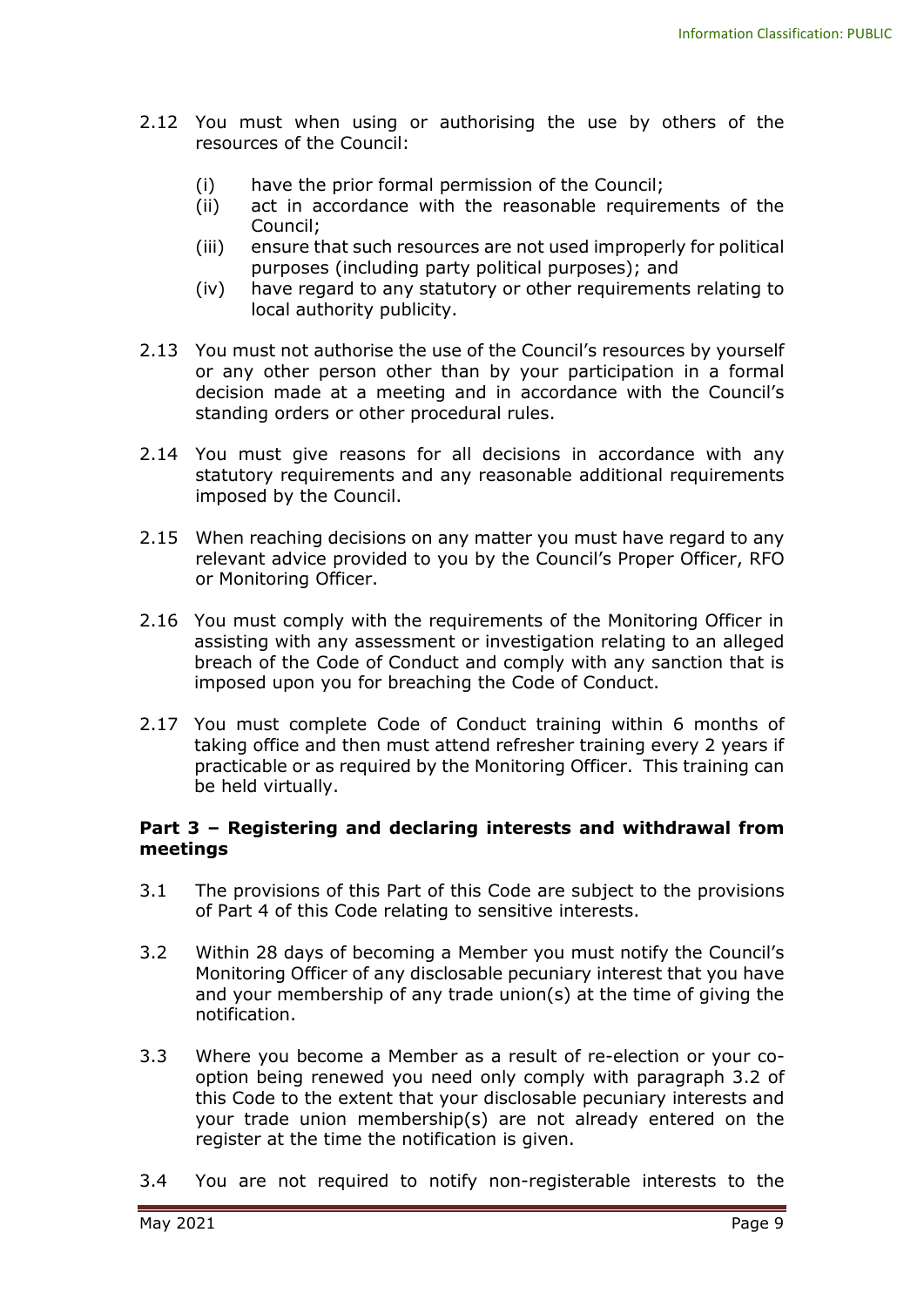- 2.12 You must when using or authorising the use by others of the resources of the Council:
	- (i) have the prior formal permission of the Council;
	- (ii) act in accordance with the reasonable requirements of the Council;
	- (iii) ensure that such resources are not used improperly for political purposes (including party political purposes); and
	- (iv) have regard to any statutory or other requirements relating to local authority publicity.
- 2.13 You must not authorise the use of the Council's resources by yourself or any other person other than by your participation in a formal decision made at a meeting and in accordance with the Council's standing orders or other procedural rules.
- 2.14 You must give reasons for all decisions in accordance with any statutory requirements and any reasonable additional requirements imposed by the Council.
- 2.15 When reaching decisions on any matter you must have regard to any relevant advice provided to you by the Council's Proper Officer, RFO or Monitoring Officer.
- 2.16 You must comply with the requirements of the Monitoring Officer in assisting with any assessment or investigation relating to an alleged breach of the Code of Conduct and comply with any sanction that is imposed upon you for breaching the Code of Conduct.
- 2.17 You must complete Code of Conduct training within 6 months of taking office and then must attend refresher training every 2 years if practicable or as required by the Monitoring Officer. This training can be held virtually.

#### **Part 3 – Registering and declaring interests and withdrawal from meetings**

- 3.1 The provisions of this Part of this Code are subject to the provisions of Part 4 of this Code relating to sensitive interests.
- 3.2 Within 28 days of becoming a Member you must notify the Council's Monitoring Officer of any disclosable pecuniary interest that you have and your membership of any trade union(s) at the time of giving the notification.
- 3.3 Where you become a Member as a result of re-election or your cooption being renewed you need only comply with paragraph 3.2 of this Code to the extent that your disclosable pecuniary interests and your trade union membership(s) are not already entered on the register at the time the notification is given.
- 3.4 You are not required to notify non-registerable interests to the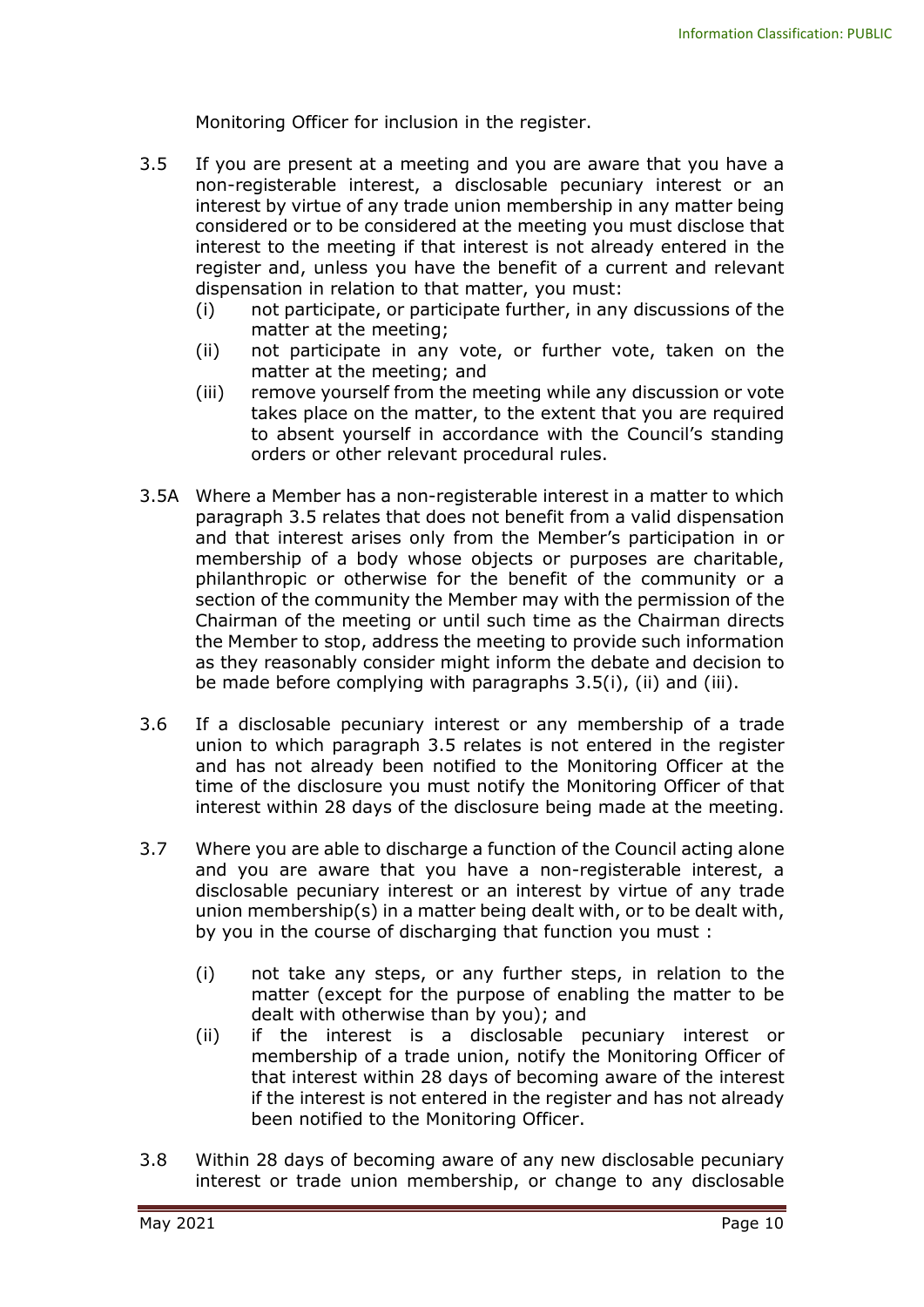Monitoring Officer for inclusion in the register.

- 3.5 If you are present at a meeting and you are aware that you have a non-registerable interest, a disclosable pecuniary interest or an interest by virtue of any trade union membership in any matter being considered or to be considered at the meeting you must disclose that interest to the meeting if that interest is not already entered in the register and, unless you have the benefit of a current and relevant dispensation in relation to that matter, you must:
	- (i) not participate, or participate further, in any discussions of the matter at the meeting;
	- (ii) not participate in any vote, or further vote, taken on the matter at the meeting; and
	- (iii) remove yourself from the meeting while any discussion or vote takes place on the matter, to the extent that you are required to absent yourself in accordance with the Council's standing orders or other relevant procedural rules.
- 3.5A Where a Member has a non-registerable interest in a matter to which paragraph 3.5 relates that does not benefit from a valid dispensation and that interest arises only from the Member's participation in or membership of a body whose objects or purposes are charitable, philanthropic or otherwise for the benefit of the community or a section of the community the Member may with the permission of the Chairman of the meeting or until such time as the Chairman directs the Member to stop, address the meeting to provide such information as they reasonably consider might inform the debate and decision to be made before complying with paragraphs 3.5(i), (ii) and (iii).
- 3.6 If a disclosable pecuniary interest or any membership of a trade union to which paragraph 3.5 relates is not entered in the register and has not already been notified to the Monitoring Officer at the time of the disclosure you must notify the Monitoring Officer of that interest within 28 days of the disclosure being made at the meeting.
- 3.7 Where you are able to discharge a function of the Council acting alone and you are aware that you have a non-registerable interest, a disclosable pecuniary interest or an interest by virtue of any trade union membership(s) in a matter being dealt with, or to be dealt with, by you in the course of discharging that function you must :
	- (i) not take any steps, or any further steps, in relation to the matter (except for the purpose of enabling the matter to be dealt with otherwise than by you); and
	- (ii) if the interest is a disclosable pecuniary interest or membership of a trade union, notify the Monitoring Officer of that interest within 28 days of becoming aware of the interest if the interest is not entered in the register and has not already been notified to the Monitoring Officer.
- 3.8 Within 28 days of becoming aware of any new disclosable pecuniary interest or trade union membership, or change to any disclosable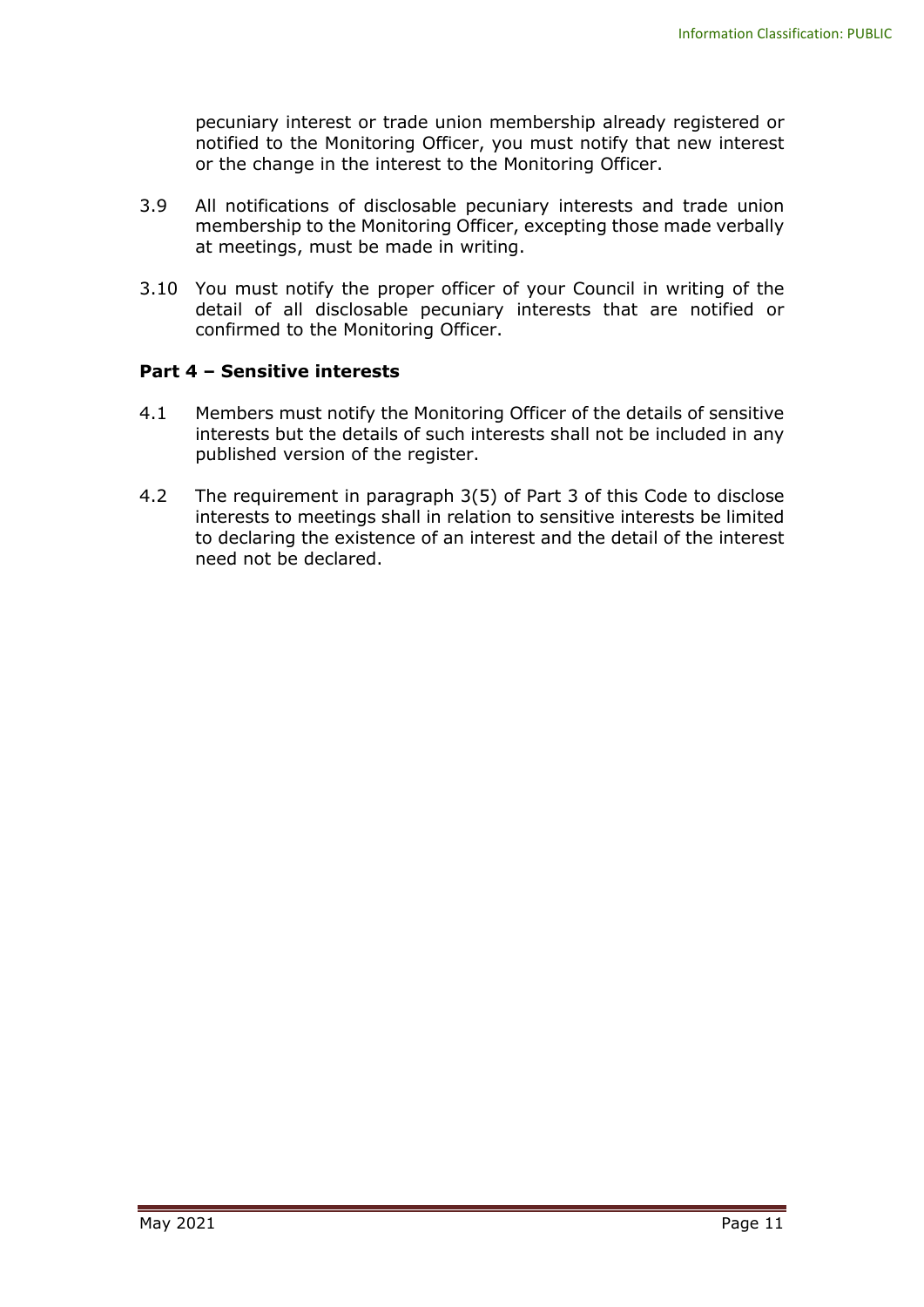pecuniary interest or trade union membership already registered or notified to the Monitoring Officer, you must notify that new interest or the change in the interest to the Monitoring Officer.

- 3.9 All notifications of disclosable pecuniary interests and trade union membership to the Monitoring Officer, excepting those made verbally at meetings, must be made in writing.
- 3.10 You must notify the proper officer of your Council in writing of the detail of all disclosable pecuniary interests that are notified or confirmed to the Monitoring Officer.

#### **Part 4 – Sensitive interests**

- 4.1 Members must notify the Monitoring Officer of the details of sensitive interests but the details of such interests shall not be included in any published version of the register.
- 4.2 The requirement in paragraph 3(5) of Part 3 of this Code to disclose interests to meetings shall in relation to sensitive interests be limited to declaring the existence of an interest and the detail of the interest need not be declared.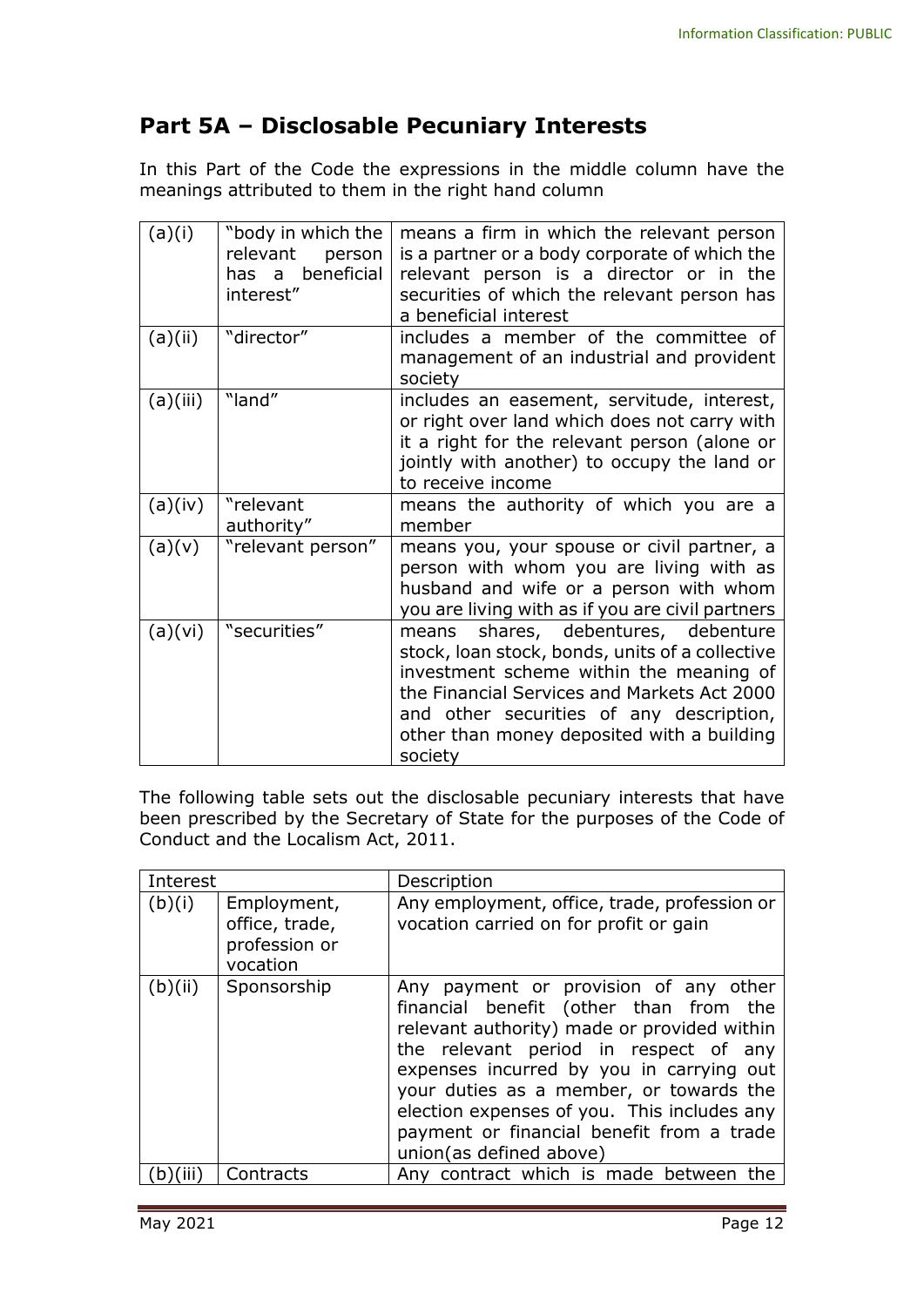## **Part 5A – Disclosable Pecuniary Interests**

In this Part of the Code the expressions in the middle column have the meanings attributed to them in the right hand column

| (a)(i)   | "body in which the<br>relevant<br>person<br>has a beneficial<br>interest" | means a firm in which the relevant person<br>is a partner or a body corporate of which the<br>relevant person is a director or in the<br>securities of which the relevant person has<br>a beneficial interest                                                                         |
|----------|---------------------------------------------------------------------------|---------------------------------------------------------------------------------------------------------------------------------------------------------------------------------------------------------------------------------------------------------------------------------------|
| (a)(ii)  | "director"                                                                | includes a member of the committee of<br>management of an industrial and provident<br>society                                                                                                                                                                                         |
| (a)(iii) | "land"                                                                    | includes an easement, servitude, interest,<br>or right over land which does not carry with<br>it a right for the relevant person (alone or<br>jointly with another) to occupy the land or<br>to receive income                                                                        |
| (a)(iv)  | "relevant<br>authority"                                                   | means the authority of which you are a<br>member                                                                                                                                                                                                                                      |
| (a)(v)   | "relevant person"                                                         | means you, your spouse or civil partner, a<br>person with whom you are living with as<br>husband and wife or a person with whom<br>you are living with as if you are civil partners                                                                                                   |
| (a)(vi)  | "securities"                                                              | means shares, debentures, debenture<br>stock, loan stock, bonds, units of a collective<br>investment scheme within the meaning of<br>the Financial Services and Markets Act 2000<br>and other securities of any description,<br>other than money deposited with a building<br>society |

The following table sets out the disclosable pecuniary interests that have been prescribed by the Secretary of State for the purposes of the Code of Conduct and the Localism Act, 2011.

| Interest |                                                            | Description                                                                                                                                                                                                                                                                                                                                                                           |
|----------|------------------------------------------------------------|---------------------------------------------------------------------------------------------------------------------------------------------------------------------------------------------------------------------------------------------------------------------------------------------------------------------------------------------------------------------------------------|
| (b)(i)   | Employment,<br>office, trade,<br>profession or<br>vocation | Any employment, office, trade, profession or<br>vocation carried on for profit or gain                                                                                                                                                                                                                                                                                                |
| (b)(ii)  | Sponsorship                                                | Any payment or provision of any other<br>financial benefit (other than from the<br>relevant authority) made or provided within<br>the relevant period in respect of any<br>expenses incurred by you in carrying out<br>your duties as a member, or towards the<br>election expenses of you. This includes any<br>payment or financial benefit from a trade<br>union(as defined above) |
|          | Contracts                                                  | Any contract which is made between the                                                                                                                                                                                                                                                                                                                                                |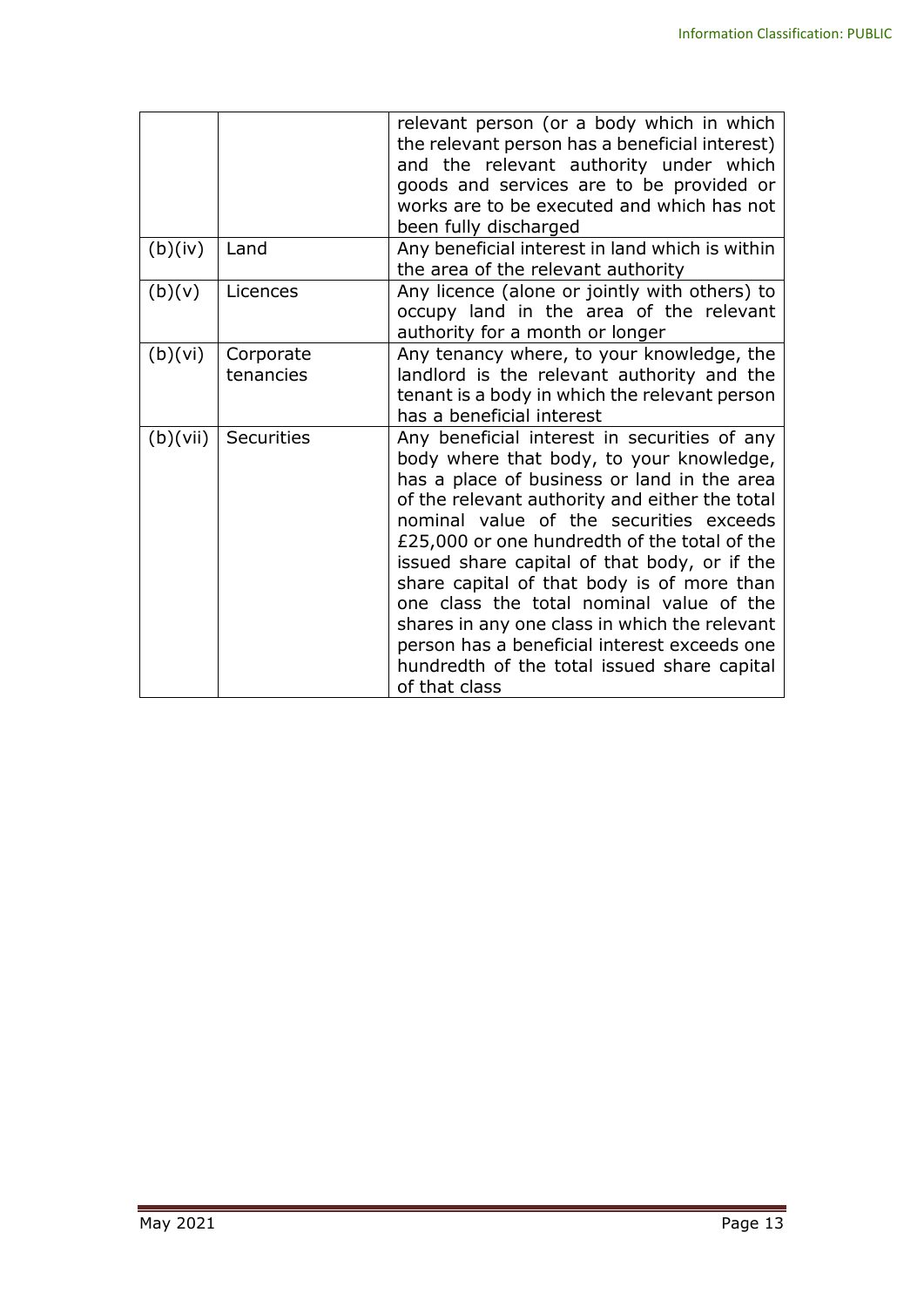|          |                        | relevant person (or a body which in which<br>the relevant person has a beneficial interest)<br>and the relevant authority under which<br>goods and services are to be provided or<br>works are to be executed and which has not<br>been fully discharged                                                                                                                                                                                                                                                                                                                                        |
|----------|------------------------|-------------------------------------------------------------------------------------------------------------------------------------------------------------------------------------------------------------------------------------------------------------------------------------------------------------------------------------------------------------------------------------------------------------------------------------------------------------------------------------------------------------------------------------------------------------------------------------------------|
| (b)(iv)  | Land                   | Any beneficial interest in land which is within<br>the area of the relevant authority                                                                                                                                                                                                                                                                                                                                                                                                                                                                                                           |
| (b)(v)   | Licences               | Any licence (alone or jointly with others) to<br>occupy land in the area of the relevant<br>authority for a month or longer                                                                                                                                                                                                                                                                                                                                                                                                                                                                     |
| (b)(vi)  | Corporate<br>tenancies | Any tenancy where, to your knowledge, the<br>landlord is the relevant authority and the<br>tenant is a body in which the relevant person<br>has a beneficial interest                                                                                                                                                                                                                                                                                                                                                                                                                           |
| (b)(vii) | <b>Securities</b>      | Any beneficial interest in securities of any<br>body where that body, to your knowledge,<br>has a place of business or land in the area<br>of the relevant authority and either the total<br>nominal value of the securities exceeds<br>£25,000 or one hundredth of the total of the<br>issued share capital of that body, or if the<br>share capital of that body is of more than<br>one class the total nominal value of the<br>shares in any one class in which the relevant<br>person has a beneficial interest exceeds one<br>hundredth of the total issued share capital<br>of that class |